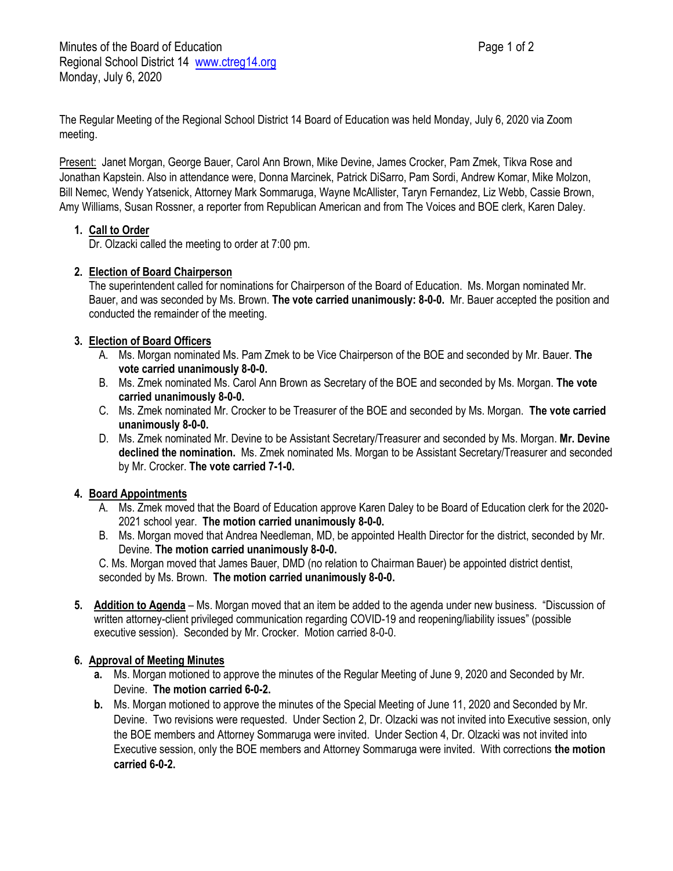The Regular Meeting of the Regional School District 14 Board of Education was held Monday, July 6, 2020 via Zoom meeting.

Present: Janet Morgan, George Bauer, Carol Ann Brown, Mike Devine, James Crocker, Pam Zmek, Tikva Rose and Jonathan Kapstein. Also in attendance were, Donna Marcinek, Patrick DiSarro, Pam Sordi, Andrew Komar, Mike Molzon, Bill Nemec, Wendy Yatsenick, Attorney Mark Sommaruga, Wayne McAllister, Taryn Fernandez, Liz Webb, Cassie Brown, Amy Williams, Susan Rossner, a reporter from Republican American and from The Voices and BOE clerk, Karen Daley.

## **1. Call to Order**

Dr. Olzacki called the meeting to order at 7:00 pm.

## **2. Election of Board Chairperson**

The superintendent called for nominations for Chairperson of the Board of Education. Ms. Morgan nominated Mr. Bauer, and was seconded by Ms. Brown. **The vote carried unanimously: 8-0-0.** Mr. Bauer accepted the position and conducted the remainder of the meeting.

## **3. Election of Board Officers**

- A. Ms. Morgan nominated Ms. Pam Zmek to be Vice Chairperson of the BOE and seconded by Mr. Bauer. **The vote carried unanimously 8-0-0.**
- B. Ms. Zmek nominated Ms. Carol Ann Brown as Secretary of the BOE and seconded by Ms. Morgan. **The vote carried unanimously 8-0-0.**
- C. Ms. Zmek nominated Mr. Crocker to be Treasurer of the BOE and seconded by Ms. Morgan. **The vote carried unanimously 8-0-0.**
- D. Ms. Zmek nominated Mr. Devine to be Assistant Secretary/Treasurer and seconded by Ms. Morgan. **Mr. Devine declined the nomination.** Ms. Zmek nominated Ms. Morgan to be Assistant Secretary/Treasurer and seconded by Mr. Crocker. **The vote carried 7-1-0.**

#### **4. Board Appointments**

- A. Ms. Zmek moved that the Board of Education approve Karen Daley to be Board of Education clerk for the 2020- 2021 school year. **The motion carried unanimously 8-0-0.**
- B. Ms. Morgan moved that Andrea Needleman, MD, be appointed Health Director for the district, seconded by Mr. Devine. **The motion carried unanimously 8-0-0.**

C. Ms. Morgan moved that James Bauer, DMD (no relation to Chairman Bauer) be appointed district dentist, seconded by Ms. Brown. **The motion carried unanimously 8-0-0.**

**5. Addition to Agenda** – Ms. Morgan moved that an item be added to the agenda under new business. "Discussion of written attorney-client privileged communication regarding COVID-19 and reopening/liability issues" (possible executive session). Seconded by Mr. Crocker. Motion carried 8-0-0.

# **6. Approval of Meeting Minutes**

- **a.** Ms. Morgan motioned to approve the minutes of the Regular Meeting of June 9, 2020 and Seconded by Mr. Devine. **The motion carried 6-0-2.**
- **b.** Ms. Morgan motioned to approve the minutes of the Special Meeting of June 11, 2020 and Seconded by Mr. Devine. Two revisions were requested. Under Section 2, Dr. Olzacki was not invited into Executive session, only the BOE members and Attorney Sommaruga were invited. Under Section 4, Dr. Olzacki was not invited into Executive session, only the BOE members and Attorney Sommaruga were invited. With corrections **the motion carried 6-0-2.**